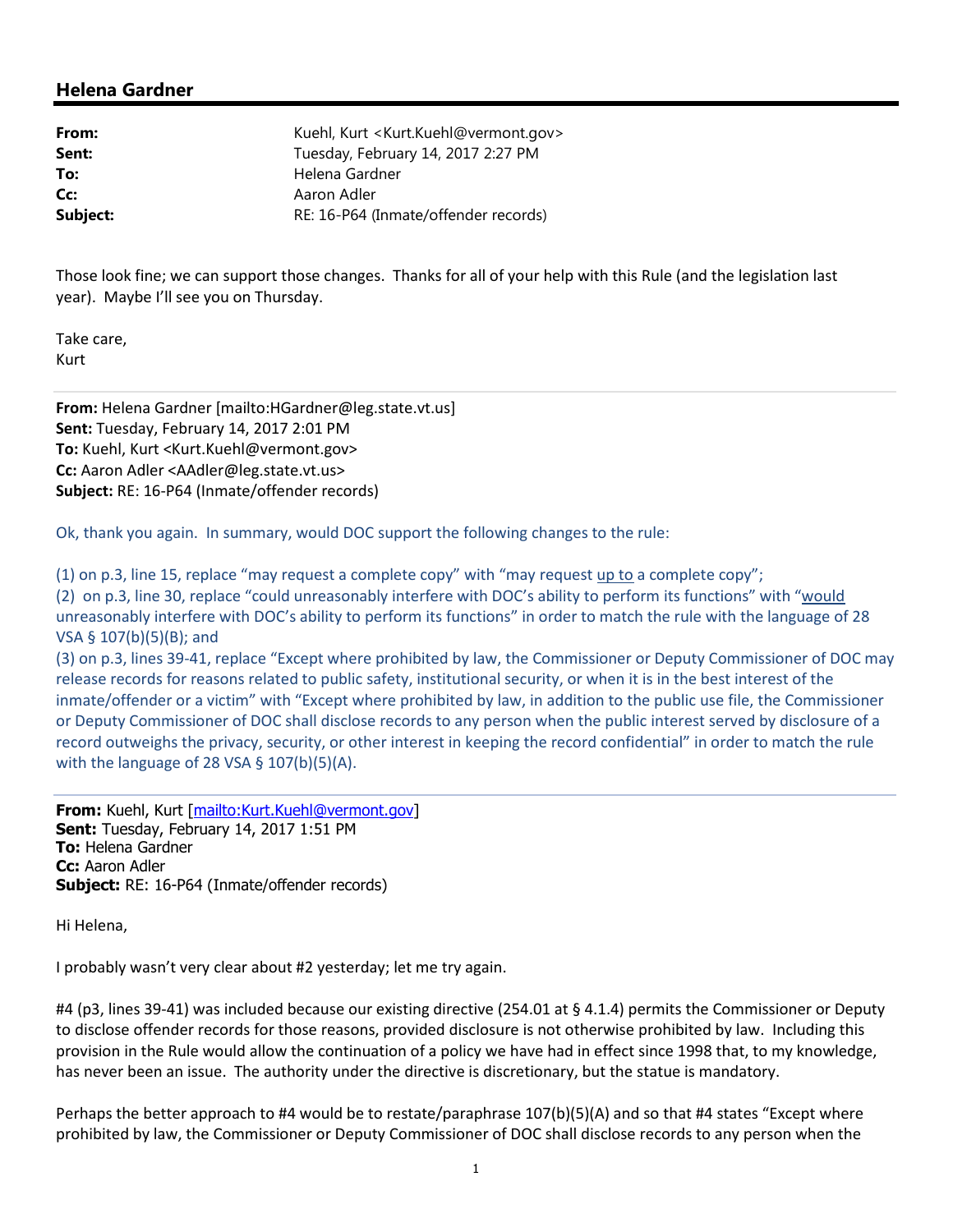## **Helena Gardner**

| Kuehl, Kurt <kurt.kuehl@vermont.gov></kurt.kuehl@vermont.gov> |
|---------------------------------------------------------------|
| Tuesday, February 14, 2017 2:27 PM                            |
| Helena Gardner                                                |
| Aaron Adler                                                   |
| RE: 16-P64 (Inmate/offender records)                          |
|                                                               |

Those look fine; we can support those changes. Thanks for all of your help with this Rule (and the legislation last year). Maybe I'll see you on Thursday.

Take care, Kurt

**From:** Helena Gardner [mailto:HGardner@leg.state.vt.us] **Sent:** Tuesday, February 14, 2017 2:01 PM **To:** Kuehl, Kurt <Kurt.Kuehl@vermont.gov> **Cc:** Aaron Adler <AAdler@leg.state.vt.us> **Subject:** RE: 16-P64 (Inmate/offender records)

Ok, thank you again. In summary, would DOC support the following changes to the rule:

(1) on p.3, line 15, replace "may request a complete copy" with "may request up to a complete copy"; (2) on p.3, line 30, replace "could unreasonably interfere with DOC's ability to perform its functions" with "would unreasonably interfere with DOC's ability to perform its functions" in order to match the rule with the language of 28 VSA § 107(b)(5)(B); and

(3) on p.3, lines 39-41, replace "Except where prohibited by law, the Commissioner or Deputy Commissioner of DOC may release records for reasons related to public safety, institutional security, or when it is in the best interest of the inmate/offender or a victim" with "Except where prohibited by law, in addition to the public use file, the Commissioner or Deputy Commissioner of DOC shall disclose records to any person when the public interest served by disclosure of a record outweighs the privacy, security, or other interest in keeping the record confidential" in order to match the rule with the language of 28 VSA  $\S$  107(b)(5)(A).

**From:** Kuehl, Kurt [mailto:Kurt.Kuehl@vermont.gov] **Sent:** Tuesday, February 14, 2017 1:51 PM **To:** Helena Gardner **Cc:** Aaron Adler **Subject:** RE: 16-P64 (Inmate/offender records)

Hi Helena,

I probably wasn't very clear about #2 yesterday; let me try again.

#4 (p3, lines 39-41) was included because our existing directive (254.01 at § 4.1.4) permits the Commissioner or Deputy to disclose offender records for those reasons, provided disclosure is not otherwise prohibited by law. Including this provision in the Rule would allow the continuation of a policy we have had in effect since 1998 that, to my knowledge, has never been an issue. The authority under the directive is discretionary, but the statue is mandatory.

Perhaps the better approach to #4 would be to restate/paraphrase 107(b)(5)(A) and so that #4 states "Except where prohibited by law, the Commissioner or Deputy Commissioner of DOC shall disclose records to any person when the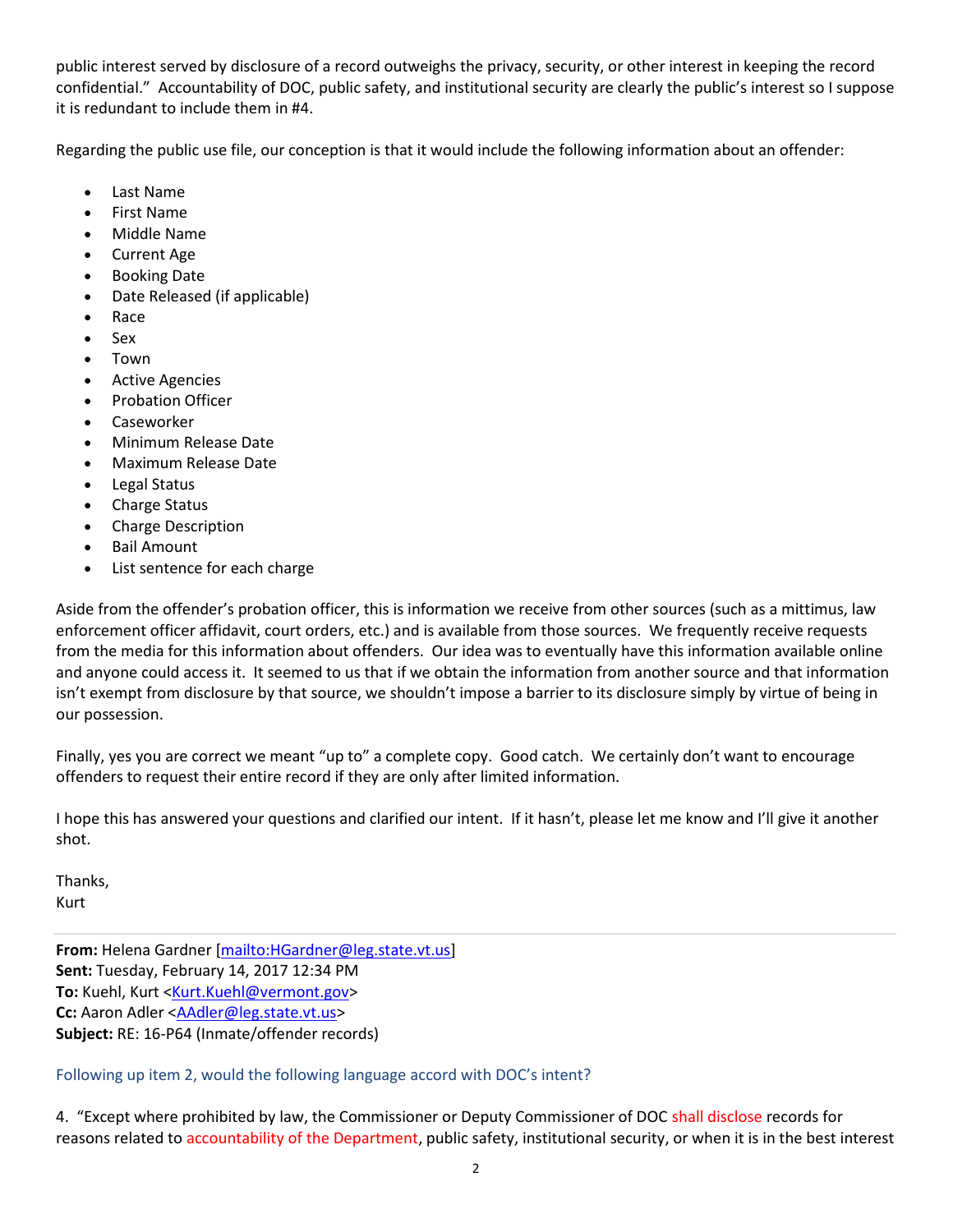public interest served by disclosure of a record outweighs the privacy, security, or other interest in keeping the record confidential." Accountability of DOC, public safety, and institutional security are clearly the public's interest so I suppose it is redundant to include them in #4.

Regarding the public use file, our conception is that it would include the following information about an offender:

- Last Name
- First Name
- Middle Name
- Current Age
- Booking Date
- Date Released (if applicable)
- Race
- Sex
- Town
- Active Agencies
- Probation Officer
- Caseworker
- Minimum Release Date
- Maximum Release Date
- Legal Status
- Charge Status
- Charge Description
- Bail Amount
- List sentence for each charge

Aside from the offender's probation officer, this is information we receive from other sources (such as a mittimus, law enforcement officer affidavit, court orders, etc.) and is available from those sources. We frequently receive requests from the media for this information about offenders. Our idea was to eventually have this information available online and anyone could access it. It seemed to us that if we obtain the information from another source and that information isn't exempt from disclosure by that source, we shouldn't impose a barrier to its disclosure simply by virtue of being in our possession.

Finally, yes you are correct we meant "up to" a complete copy. Good catch. We certainly don't want to encourage offenders to request their entire record if they are only after limited information.

I hope this has answered your questions and clarified our intent. If it hasn't, please let me know and I'll give it another shot.

Thanks, Kurt

**From:** Helena Gardner [mailto:HGardner@leg.state.vt.us] **Sent:** Tuesday, February 14, 2017 12:34 PM To: Kuehl, Kurt <Kurt.Kuehl@vermont.gov> **Cc:** Aaron Adler <AAdler@leg.state.vt.us> **Subject:** RE: 16-P64 (Inmate/offender records)

Following up item 2, would the following language accord with DOC's intent?

4. "Except where prohibited by law, the Commissioner or Deputy Commissioner of DOC shall disclose records for reasons related to accountability of the Department, public safety, institutional security, or when it is in the best interest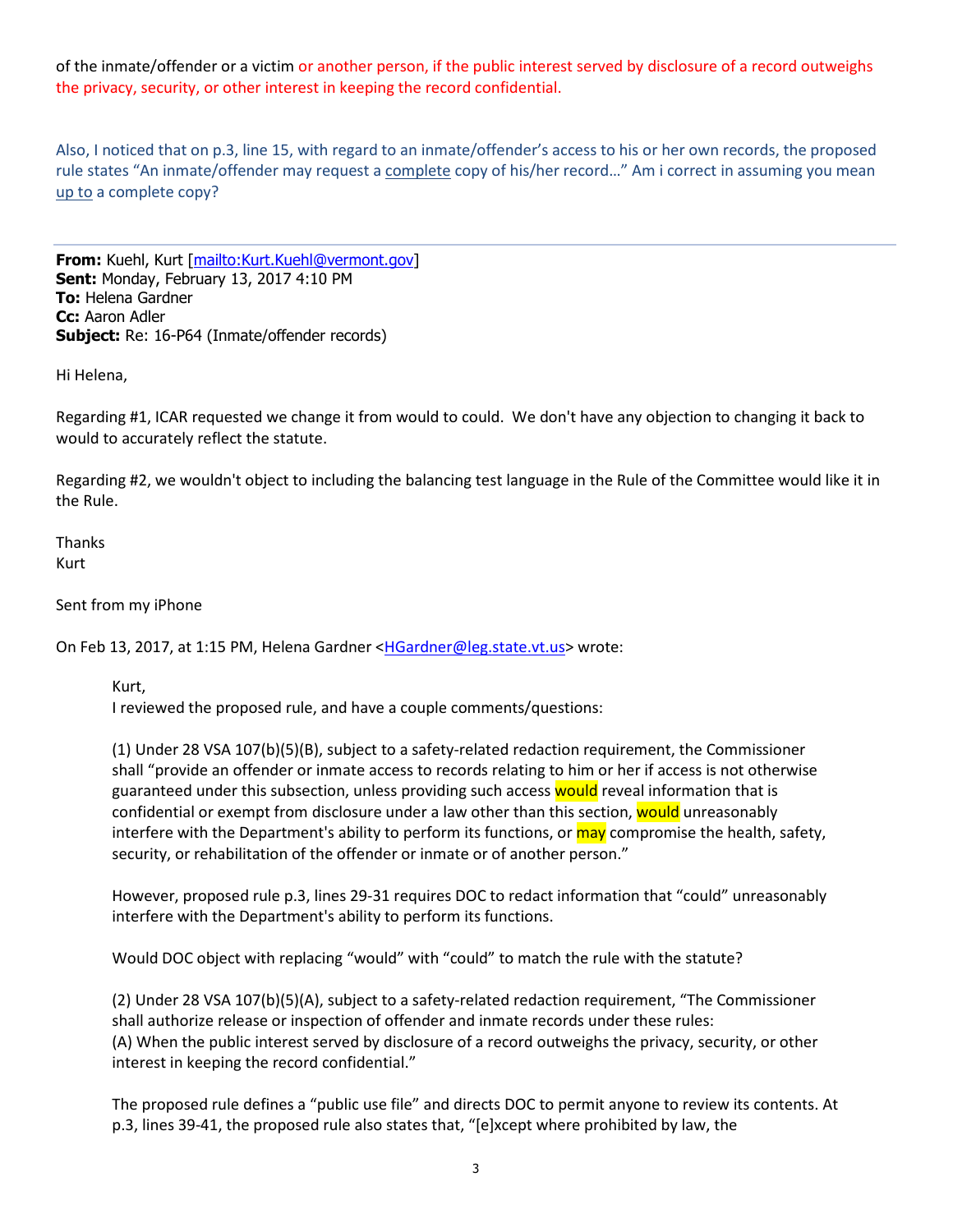of the inmate/offender or a victim or another person, if the public interest served by disclosure of a record outweighs the privacy, security, or other interest in keeping the record confidential.

Also, I noticed that on p.3, line 15, with regard to an inmate/offender's access to his or her own records, the proposed rule states "An inmate/offender may request a complete copy of his/her record…" Am i correct in assuming you mean up to a complete copy?

**From:** Kuehl, Kurt [mailto:Kurt.Kuehl@vermont.gov] **Sent:** Monday, February 13, 2017 4:10 PM **To:** Helena Gardner **Cc:** Aaron Adler **Subject:** Re: 16-P64 (Inmate/offender records)

Hi Helena,

Regarding #1, ICAR requested we change it from would to could. We don't have any objection to changing it back to would to accurately reflect the statute.

Regarding #2, we wouldn't object to including the balancing test language in the Rule of the Committee would like it in the Rule.

**Thanks** Kurt

Sent from my iPhone

On Feb 13, 2017, at 1:15 PM, Helena Gardner <HGardner@leg.state.vt.us> wrote:

Kurt,

I reviewed the proposed rule, and have a couple comments/questions:

(1) Under 28 VSA 107(b)(5)(B), subject to a safety-related redaction requirement, the Commissioner shall "provide an offender or inmate access to records relating to him or her if access is not otherwise guaranteed under this subsection, unless providing such access would reveal information that is confidential or exempt from disclosure under a law other than this section, would unreasonably interfere with the Department's ability to perform its functions, or may compromise the health, safety, security, or rehabilitation of the offender or inmate or of another person."

However, proposed rule p.3, lines 29-31 requires DOC to redact information that "could" unreasonably interfere with the Department's ability to perform its functions.

Would DOC object with replacing "would" with "could" to match the rule with the statute?

(2) Under 28 VSA 107(b)(5)(A), subject to a safety-related redaction requirement, "The Commissioner shall authorize release or inspection of offender and inmate records under these rules: (A) When the public interest served by disclosure of a record outweighs the privacy, security, or other interest in keeping the record confidential."

The proposed rule defines a "public use file" and directs DOC to permit anyone to review its contents. At p.3, lines 39-41, the proposed rule also states that, "[e]xcept where prohibited by law, the